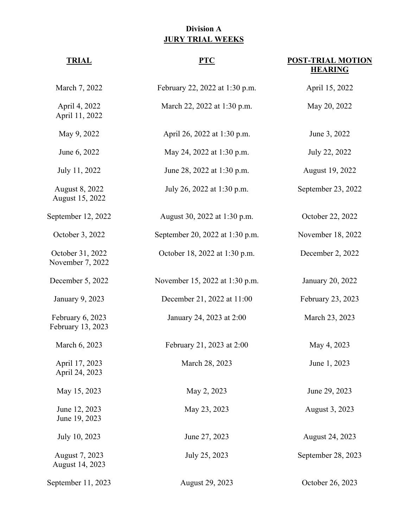## **Division A JURY TRIAL WEEKS**

| <b>TRIAL</b>                          | <b>PTC</b>                      | <b>POST-TRIAL MOTION</b><br><b>HEARING</b> |
|---------------------------------------|---------------------------------|--------------------------------------------|
| March 7, 2022                         | February 22, 2022 at 1:30 p.m.  | April 15, 2022                             |
| April 4, 2022<br>April 11, 2022       | March 22, 2022 at 1:30 p.m.     | May 20, 2022                               |
| May 9, 2022                           | April 26, 2022 at 1:30 p.m.     | June 3, 2022                               |
| June 6, 2022                          | May 24, 2022 at 1:30 p.m.       | July 22, 2022                              |
| July 11, 2022                         | June 28, 2022 at 1:30 p.m.      | August 19, 2022                            |
| August 8, 2022<br>August 15, 2022     | July 26, 2022 at 1:30 p.m.      | September 23, 2022                         |
| September 12, 2022                    | August 30, 2022 at 1:30 p.m.    | October 22, 2022                           |
| October 3, 2022                       | September 20, 2022 at 1:30 p.m. | November 18, 2022                          |
| October 31, 2022<br>November 7, 2022  | October 18, 2022 at 1:30 p.m.   | December 2, 2022                           |
| December 5, 2022                      | November 15, 2022 at 1:30 p.m.  | January 20, 2022                           |
| January 9, 2023                       | December 21, 2022 at 11:00      | February 23, 2023                          |
| February 6, 2023<br>February 13, 2023 | January 24, 2023 at 2:00        | March 23, 2023                             |
| March 6, 2023                         | February 21, 2023 at 2:00       | May 4, 2023                                |
| April 17, 2023<br>April 24, 2023      | March 28, 2023                  | June 1, 2023                               |
| May 15, 2023                          | May 2, 2023                     | June 29, 2023                              |
| June 12, 2023<br>June 19, 2023        | May 23, 2023                    | August 3, 2023                             |
| July 10, 2023                         | June 27, 2023                   | August 24, 2023                            |
| August 7, 2023<br>August 14, 2023     | July 25, 2023                   | September 28, 2023                         |
| September 11, 2023                    | August 29, 2023                 | October 26, 2023                           |